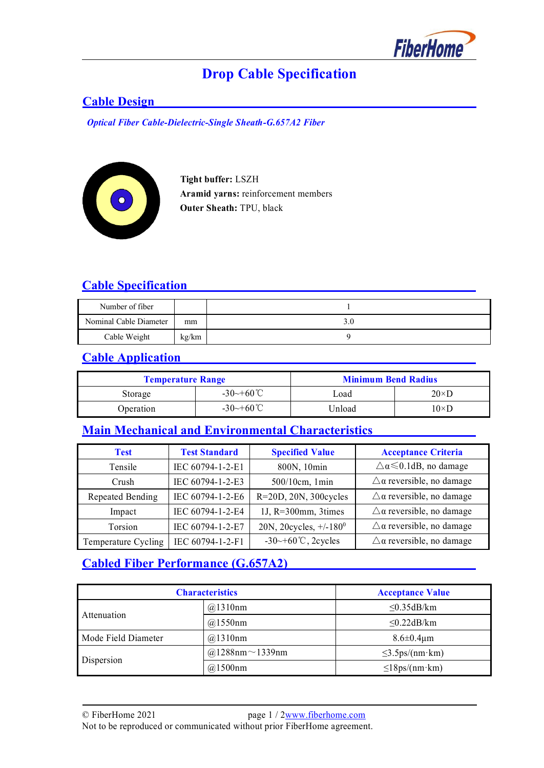

# **Drop Cable Specification**

## **Cable Design**

*Optical Fiber Cable-Dielectric-Single Sheath-G.657A2 Fiber*



 **Tight buffer:** LSZH **Aramid yarns:** reinforcement members **Outer Sheath:** TPU, black

## **Cable Specification**

| Number of fiber        |       |     |
|------------------------|-------|-----|
| Nominal Cable Diameter | mm    | 3.0 |
| Cable Weight           | kg/km |     |

## **Cable Application**

| <b>Temperature Range</b> |                                | <b>Minimum Bend Radius</b> |               |
|--------------------------|--------------------------------|----------------------------|---------------|
| Storage                  | $-30 \rightarrow +60^{\circ}C$ | Load                       | $20 \times D$ |
| Operation                | $-30 \rightarrow +60^{\circ}C$ | Unload                     | $10\times$ D  |

# **Main Mechanical and Environmental Characteristics**

| <b>Test</b>         | <b>Test Standard</b> | <b>Specified Value</b>         | <b>Acceptance Criteria</b>                |
|---------------------|----------------------|--------------------------------|-------------------------------------------|
| Tensile             | IEC 60794-1-2-E1     | 800N, 10min                    | $\triangle \alpha \leq 0.1$ dB, no damage |
| Crush               | IEC 60794-1-2-E3     | 500/10cm, 1min                 | $\triangle$ a reversible, no damage       |
| Repeated Bending    | IEC 60794-1-2-E6     | R=20D, 20N, 300cycles          | $\triangle$ a reversible, no damage       |
| Impact              | IEC 60794-1-2-E4     | 1J, $R=300$ mm, 3times         | $\triangle$ a reversible, no damage       |
| Torsion             | IEC 60794-1-2-E7     | 20N, 20cycles, $+/-180^0$      | $\triangle$ a reversible, no damage       |
| Temperature Cycling | IEC 60794-1-2-F1     | $-30$ $-60^{\circ}$ C, 2cycles | $\triangle$ a reversible, no damage       |

# **Cabled Fiber Performance (G.657A2)**

| <b>Characteristics</b> |                       | <b>Acceptance Value</b> |
|------------------------|-----------------------|-------------------------|
| Attenuation            | @1310nm               | $\leq$ 0.35dB/km        |
|                        | @1550nm               | $\leq$ 0.22dB/km        |
| Mode Field Diameter    | @1310nm               | $8.6 \pm 0.4 \mu m$     |
| Dispersion             | @1288nm $\sim$ 1339nm | $\leq$ 3.5ps/(nm·km)    |
|                        | @1500nm               | $\leq$ 18ps/(nm·km)     |